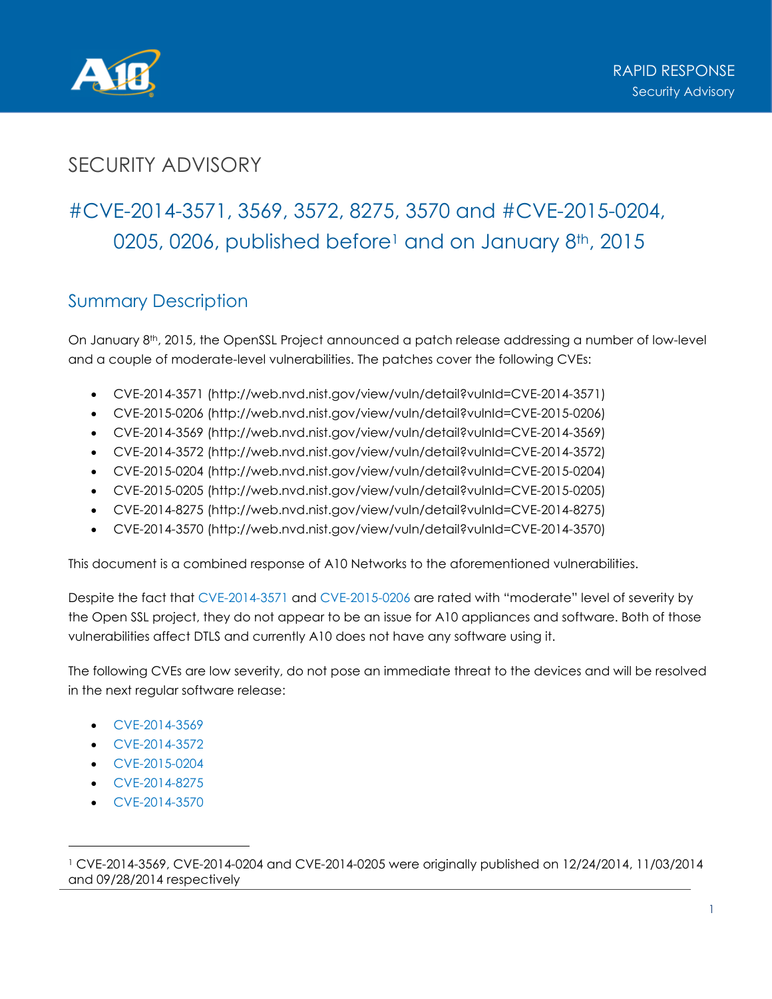

## SECURITY ADVISORY

# #CVE-2014-3571, 3569, 3572, 8275, 3570 and #CVE-2015-0204, 0205, 0206, published before<sup>1</sup> and on January 8<sup>th</sup>, 2015

#### Summary Description

On January 8th, 2015, the OpenSSL Project announced a patch release addressing a number of low-level and a couple of moderate-level vulnerabilities. The patches cover the following CVEs:

- CVE-2014-3571 (http://web.nvd.nist.gov/view/vuln/detail?vulnId=CVE-2014-3571)
- CVE-2015-0206 (http://web.nvd.nist.gov/view/vuln/detail?vulnId=CVE-2015-0206)
- CVE-2014-3569 (http://web.nvd.nist.gov/view/vuln/detail?vulnId=CVE-2014-3569)
- CVE-2014-3572 (http://web.nvd.nist.gov/view/vuln/detail?vulnId=CVE-2014-3572)
- CVE-2015-0204 (http://web.nvd.nist.gov/view/vuln/detail?vulnId=CVE-2015-0204)
- CVE-2015-0205 (http://web.nvd.nist.gov/view/vuln/detail?vulnId=CVE-2015-0205)
- CVE-2014-8275 (http://web.nvd.nist.gov/view/vuln/detail?vulnId=CVE-2014-8275)
- CVE-2014-3570 (http://web.nvd.nist.gov/view/vuln/detail?vulnId=CVE-2014-3570)

This document is a combined response of A10 Networks to the aforementioned vulnerabilities.

Despite the fact that CVE-2014-3571 and CVE-2015-0206 are rated with "moderate" level of severity by the Open SSL project, they do not appear to be an issue for A10 appliances and software. Both of those vulnerabilities affect DTLS and currently A10 does not have any software using it.

The following CVEs are low severity, do not pose an immediate threat to the devices and will be resolved in the next regular software release:

- CVE-2014-3569
- CVE-2014-3572
- CVE-2015-0204
- CVE-2014-8275
- CVE-2014-3570

<sup>1</sup> CVE-2014-3569, CVE-2014-0204 and CVE-2014-0205 were originally published on 12/24/2014, 11/03/2014 and 09/28/2014 respectively